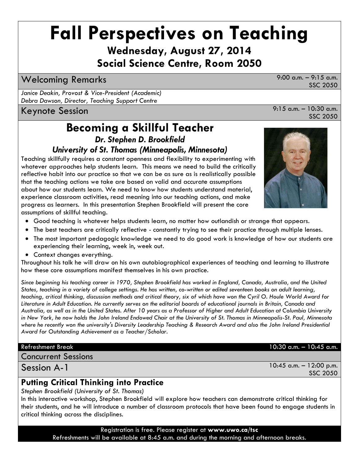## **Fall Perspectives on Teaching**

**Wednesday, August 27, 2014 Social Science Centre, Room 2050**

### Welcoming Remarks 9:00 a.m. – 9:15 a.m.

*Janice Deakin, Provost & Vice-President (Academic) Debra Dawson, Director, Teaching Support Centre*

### **Becoming a Skillful Teacher** *Dr. Stephen D. Brookfield*

#### *University of St. Thomas (Minneapolis, Minnesota)*

Teaching skillfully requires a constant openness and flexibility to experimenting with whatever approaches help students learn. This means we need to build the critically reflective habit into our practice so that we can be as sure as is realistically possible that the teaching actions we take are based on valid and accurate assumptions about how our students learn. We need to know how students understand material, experience classroom activities, read meaning into our teaching actions, and make progress as learners. In this presentation Stephen Brookfield will present the core assumptions of skillful teaching.

- Good teaching is whatever helps students learn, no matter how outlandish or strange that appears.
- The best teachers are critically reflective constantly trying to see their practice through multiple lenses.
- The most important pedagogic knowledge we need to do good work is knowledge of how our students are experiencing their learning, week in, week out.
- Context changes everything.

Throughout his talk he will draw on his own autobiographical experiences of teaching and learning to illustrate how these core assumptions manifest themselves in his own practice.

*Since beginning his teaching career in 1970, Stephen Brookfield has worked in England, Canada, Australia, and the United States, teaching in a variety of college settings. He has written, co-written or edited seventeen books on adult learning, teaching, critical thinking, discussion methods and critical theory, six of which have won the Cyril O. Houle World Award for Literature in Adult Education. He currently serves on the editorial boards of educational journals in Britain, Canada and Australia, as well as in the United States. After 10 years as a Professor of Higher and Adult Education at Columbia University in New York, he now holds the John Ireland Endowed Chair at the University of St. Thomas in Minneapolis-St. Paul, Minnesota where he recently won the university's Diversity Leadership Teaching & Research Award and also the John Ireland Presidential Award for Outstanding Achievement as a Teacher/Scholar.*

Concurrent Sessions

Session A-1

#### **Putting Critical Thinking into Practice**

*Stephen Brookfield (University of St. Thomas)*

In this interactive workshop, Stephen Brookfield will explore how teachers can demonstrate critical thinking for their students, and he will introduce a number of classroom protocols that have been found to engage students in critical thinking across the disciplines.

> Registration is free. Please register at **www.uwo.ca/tsc**  Refreshments will be available at 8:45 a.m. and during the morning and afternoon breaks.

Keynote Session 9:15 a.m. – 10:30 a.m. SSC 2050

SSC 2050



Refreshment Break 10:30 a.m. – 10:45 a.m.

10:45 a.m. – 12:00 p.m.

SSC 2050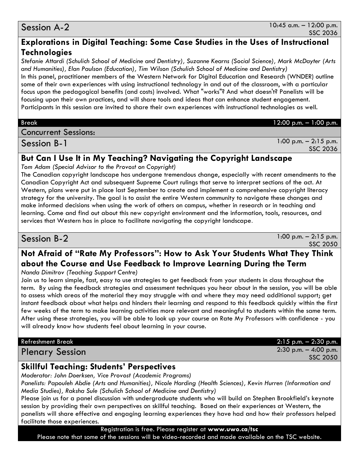#### Session A-2

#### **Explorations in Digital Teaching: Some Case Studies in the Uses of Instructional Technologies**

*Stefanie Attardi (Schulich School of Medicine and Dentistry), Suzanne Kearns (Social Science), Mark McDayter (Arts and Humanities), Elan Paulson (Education), Tim Wilson (Schulich School of Medicine and Dentistry)* 

In this panel, practitioner members of the Western Network for Digital Education and Research (WNDER) outline some of their own experiences with using instructional technology in and out of the classroom, with a particular focus upon the pedagogical benefits (and costs) involved. What "works"? And what doesn't? Panelists will be focusing upon their own practices, and will share tools and ideas that can enhance student engagement. Participants in this session are invited to share their own experiences with instructional technologies as well.

#### Break 12:00 p.m. – 1:00 p.m. Concurrent Sessions:

Session B-1

1:00 p.m. – 2:15 p.m. SSC 2036

#### **But Can I Use It in My Teaching? Navigating the Copyright Landscape**

*Tom Adam (Special Advisor to the Provost on Copyright)*

The Canadian copyright landscape has undergone tremendous change, especially with recent amendments to the Canadian Copyright Act and subsequent Supreme Court rulings that serve to interpret sections of the act. At Western, plans were put in place last September to create and implement a comprehensive copyright literacy strategy for the university. The goal is to assist the entire Western community to navigate these changes and make informed decisions when using the work of others on campus, whether in research or in teaching and learning. Come and find out about this new copyright environment and the information, tools, resources, and services that Western has in place to facilitate navigating the copyright landscape.

Session B-2

 $1:00$  p.m.  $-2:15$  p.m. SSC 2050

### **Not Afraid of "Rate My Professors": How to Ask Your Students What They Think about the Course and Use Feedback to Improve Learning During the Term**

*Nanda Dimitrov (Teaching Support Centre)*

Join us to learn simple, fast, easy to use strategies to get feedback from your students in class throughout the term. By using the feedback strategies and assessment techniques you hear about in the session, you will be able to assess which areas of the material they may struggle with and where they may need additional support; get instant feedback about what helps and hinders their learning and respond to this feedback quickly within the first few weeks of the term to make learning activities more relevant and meaningful to students within the same term. After using these strategies, you will be able to look up your course on Rate My Professors with confidence - you will already know how students feel about learning in your course.

Refreshment Break 2:15 p.m. – 2:30 p.m. Plenary Session 2:30 p.m. – 4:00 p.m. SSC 2050

#### **Skillful Teaching: Students' Perspectives**

*Moderator: John Doerksen, Vice Provost (Academic Programs)*

*Panelists: Papouleh Abdie (Arts and Humanities), Nicole Harding (Health Sciences), Kevin Hurren (Information and Media Studies), Raksha Sule (Schulich School of Medicine and Dentistry)*

Please join us for a panel discussion with undergraduate students who will build on Stephen Brookfield's keynote session by providing their own perspectives on skillful teaching. Based on their experiences at Western, the panelists will share effective and engaging learning experiences they have had and how their professors helped facilitate those experiences.

Registration is free. Please register at **www.uwo.ca/tsc** Please note that some of the sessions will be video-recorded and made available on the TSC website.